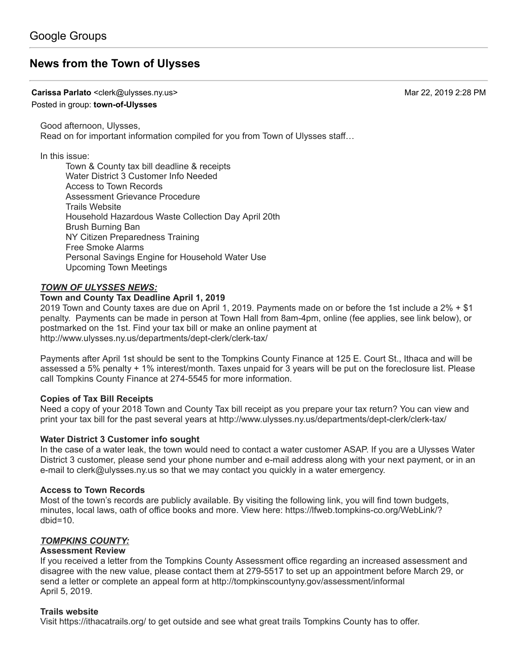# **[News from the Town of Ulysses](https://groups.google.com/d/topic/town-of-ulysses/albuAjIlCYk)**

**Carissa Parlato** <clerk@ulysses.ny.us> Mar 22, 2019 2:28 PM

### Posted in group: **[town-of-Ulysses](https://groups.google.com/d/forum/town-of-ulysses)**

Good afternoon, Ulysses, Read on for important information compiled for you from Town of Ulysses staff…

### In this issue:

Town & County tax bill deadline & receipts Water District 3 Customer Info Needed Access to Town Records Assessment Grievance Procedure Trails Website Household Hazardous Waste Collection Day April 20th Brush Burning Ban NY Citizen Preparedness Training Free Smoke Alarms Personal Savings Engine for Household Water Use Upcoming Town Meetings

### *TOWN OF ULYSSES NEWS:*

### **Town and County Tax Deadline April 1, 2019**

2019 Town and County taxes are due on April 1, 2019. Payments made on or before the 1st include a 2% + \$1 penalty. Payments can be made in person at Town Hall from 8am-4pm, online (fee applies, see link below), or postmarked on the 1st. Find your tax bill or make an online payment at <http://www.ulysses.ny.us/departments/dept-clerk/clerk-tax/>

Payments after April 1st should be sent to the Tompkins County Finance at 125 E. Court St., Ithaca and will be assessed a 5% penalty + 1% interest/month. Taxes unpaid for 3 years will be put on the foreclosure list. Please call Tompkins County Finance at 274-5545 for more information.

### **Copies of Tax Bill Receipts**

Need a copy of your 2018 Town and County Tax bill receipt as you prepare your tax return? You can view and print your tax bill for the past several years at<http://www.ulysses.ny.us/departments/dept-clerk/clerk-tax/>

### **Water District 3 Customer info sought**

In the case of a water leak, the town would need to contact a water customer ASAP. If you are a Ulysses Water District 3 customer, please send your phone number and e-mail address along with your next payment, or in an e-mail to [clerk@ulysses.ny.us](mailto:clerk@ulysses.ny.us) so that we may contact you quickly in a water emergency.

### **Access to Town Records**

Most of the town's records are publicly available. By visiting the following link, you will find town budgets, [minutes, local laws, oath of office books and more. View here: https://lfweb.tompkins-co.org/WebLink/?](https://lfweb.tompkins-co.org/WebLink/?dbid=10)  $dbid=10$ .

### *TOMPKINS COUNTY:*

### **Assessment Review**

If you received a letter from the Tompkins County Assessment office regarding an increased assessment and disagree with the new value, please contact them at 279-5517 to set up an appointment before March 29, or send a letter or complete an appeal form at <http://tompkinscountyny.gov/assessment/informal> April 5, 2019.

### **Trails website**

Visit<https://ithacatrails.org/> to get outside and see what great trails Tompkins County has to offer.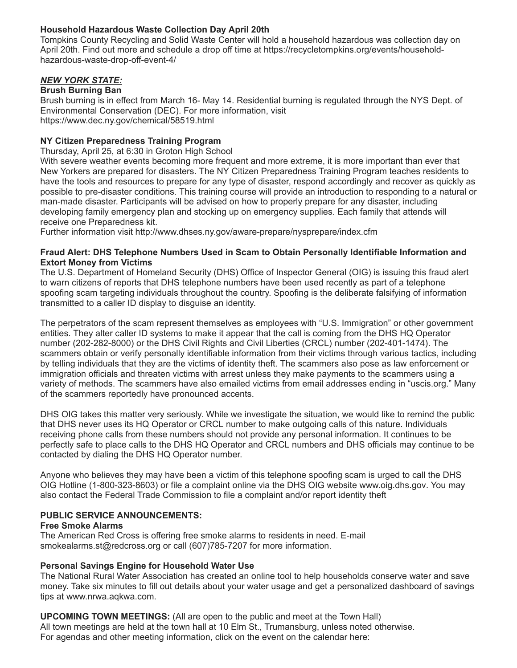## **Household Hazardous Waste Collection Day April 20th**

Tompkins County Recycling and Solid Waste Center will hold a household hazardous was collection day on [April 20th. Find out more and schedule a drop off time at https://recycletompkins.org/events/household](https://recycletompkins.org/events/household-hazardous-waste-drop-off-event-4/)hazardous-waste-drop-off-event-4/

### *NEW YORK STATE:*

### **Brush Burning Ban**

Brush burning is in effect from March 16- May 14. Residential burning is regulated through the NYS Dept. of Environmental Conservation (DEC). For more information, visit <https://www.dec.ny.gov/chemical/58519.html>

### **NY Citizen Preparedness Training Program**

Thursday, April 25, at 6:30 in Groton High School

With severe weather events becoming more frequent and more extreme, it is more important than ever that New Yorkers are prepared for disasters. The NY Citizen Preparedness Training Program teaches residents to have the tools and resources to prepare for any type of disaster, respond accordingly and recover as quickly as possible to pre-disaster conditions. This training course will provide an introduction to responding to a natural or man-made disaster. Participants will be advised on how to properly prepare for any disaster, including developing family emergency plan and stocking up on emergency supplies. Each family that attends will receive one Preparedness kit.

Further information visit [http://www.dhses.ny.gov/aware-prepare/nysprepare/index.cfm](http://www.dhses.ny.gov/aware-prepare/nysprepare/index.cfm.)

### **Fraud Alert: DHS Telephone Numbers Used in Scam to Obtain Personally Identifiable Information and Extort Money from Victims**

The U.S. Department of Homeland Security (DHS) Office of Inspector General (OIG) is issuing this fraud alert to warn citizens of reports that DHS telephone numbers have been used recently as part of a telephone spoofing scam targeting individuals throughout the country. Spoofing is the deliberate falsifying of information transmitted to a caller ID display to disguise an identity.

The perpetrators of the scam represent themselves as employees with "U.S. Immigration" or other government entities. They alter caller ID systems to make it appear that the call is coming from the DHS HQ Operator number (202-282-8000) or the DHS Civil Rights and Civil Liberties (CRCL) number (202-401-1474). The scammers obtain or verify personally identifiable information from their victims through various tactics, including by telling individuals that they are the victims of identity theft. The scammers also pose as law enforcement or immigration officials and threaten victims with arrest unless they make payments to the scammers using a variety of methods. The scammers have also emailed victims from email addresses ending in "uscis.org." Many of the scammers reportedly have pronounced accents.

DHS OIG takes this matter very seriously. While we investigate the situation, we would like to remind the public that DHS never uses its HQ Operator or CRCL number to make outgoing calls of this nature. Individuals receiving phone calls from these numbers should not provide any personal information. It continues to be perfectly safe to place calls to the DHS HQ Operator and CRCL numbers and DHS officials may continue to be contacted by dialing the DHS HQ Operator number.

Anyone who believes they may have been a victim of this telephone spoofing scam is urged to call the DHS OIG Hotline (1-800-323-8603) or file a complaint online via the DHS OIG website [www.oig.dhs.gov.](http://www.oig.dhs.gov/) You may also contact the Federal Trade Commission to file a complaint and/or report identity theft

### **PUBLIC SERVICE ANNOUNCEMENTS:**

### **Free Smoke Alarms**

The American Red Cross is offering free smoke alarms to residents in need. E-mail [smokealarms.st@redcross.org](mailto:smokealarms.st@redcross.org) or call (607)785-7207 for more information.

### **Personal Savings Engine for Household Water Use**

The National Rural Water Association has created an online tool to help households conserve water and save money. Take six minutes to fill out details about your water usage and get a personalized dashboard of savings tips at [www.nrwa.aqkwa.com.](http://www.nrwa.aqkwa.com/)

**UPCOMING TOWN MEETINGS:** (All are open to the public and meet at the Town Hall) All town meetings are held at the town hall at 10 Elm St., Trumansburg, unless noted otherwise. For agendas and other meeting information, click on the event on the calendar here: